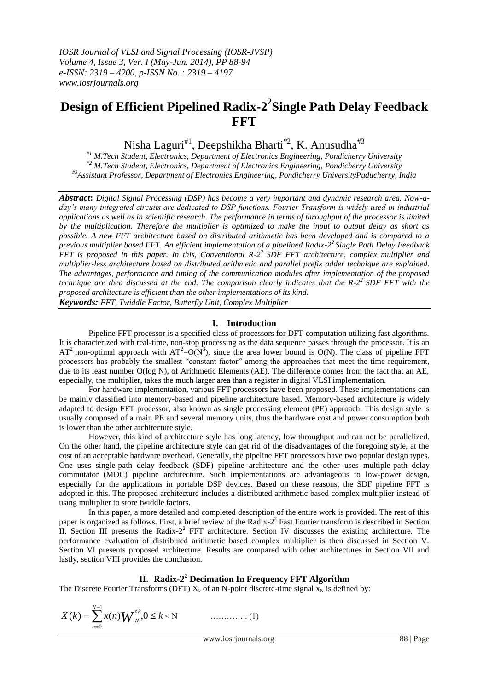# **Design of Efficient Pipelined Radix-2 2 Single Path Delay Feedback FFT**

Nisha Laguri<sup>#1</sup>, Deepshikha Bharti<sup>\*2</sup>, K. Anusudha<sup>#3</sup>

*#1 M.Tech Student, Electronics, Department of Electronics Engineering, Pondicherry University \*2 M.Tech Student, Electronics, Department of Electronics Engineering, Pondicherry University #3Assistant Professor, Department of Electronics Engineering, Pondicherry UniversityPuducherry, India*

*Abstract***:** *Digital Signal Processing (DSP) has become a very important and dynamic research area. Now-a*day's many integrated circuits are dedicated to DSP functions. Fourier Transform is widely used in industrial *applications as well as in scientific research. The performance in terms of throughput of the processor is limited by the multiplication. Therefore the multiplier is optimized to make the input to output delay as short as possible. A new FFT architecture based on distributed arithmetic has been developed and is compared to a previous multiplier based FFT. An efficient implementation of a pipelined Radix-2 <sup>2</sup>Single Path Delay Feedback FFT is proposed in this paper. In this, Conventional R-2 <sup>2</sup>SDF FFT architecture, complex multiplier and multiplier-less architecture based on distributed arithmetic and parallel prefix adder technique are explained. The advantages, performance and timing of the communication modules after implementation of the proposed technique are then discussed at the end. The comparison clearly indicates that the R-2 <sup>2</sup>SDF FFT with the proposed architecture is efficient than the other implementations of its kind. Keywords: FFT, Twiddle Factor, Butterfly Unit, Complex Multiplier*

## **I. Introduction**

Pipeline FFT processor is a specified class of processors for DFT computation utilizing fast algorithms. It is characterized with real-time, non-stop processing as the data sequence passes through the processor. It is an  $AT^2$  non-optimal approach with  $AT^2=O(N^3)$ , since the area lower bound is O(N). The class of pipeline FFT processors has probably the smallest "constant factor" among the approaches that meet the time requirement, due to its least number O(log N), of Arithmetic Elements (AE). The difference comes from the fact that an AE, especially, the multiplier, takes the much larger area than a register in digital VLSI implementation.

For hardware implementation, various FFT processors have been proposed. These implementations can be mainly classified into memory-based and pipeline architecture based. Memory-based architecture is widely adapted to design FFT processor, also known as single processing element (PE) approach. This design style is usually composed of a main PE and several memory units, thus the hardware cost and power consumption both is lower than the other architecture style.

However, this kind of architecture style has long latency, low throughput and can not be parallelized. On the other hand, the pipeline architecture style can get rid of the disadvantages of the foregoing style, at the cost of an acceptable hardware overhead. Generally, the pipeline FFT processors have two popular design types. One uses single-path delay feedback (SDF) pipeline architecture and the other uses multiple-path delay commutator (MDC) pipeline architecture. Such implementations are advantageous to low-power design, especially for the applications in portable DSP devices. Based on these reasons, the SDF pipeline FFT is adopted in this. The proposed architecture includes a distributed arithmetic based complex multiplier instead of using multiplier to store twiddle factors.

In this paper, a more detailed and completed description of the entire work is provided. The rest of this paper is organized as follows. First, a brief review of the Radix-2<sup>2</sup> Fast Fourier transform is described in Section II. Section III presents the Radix-2<sup>2</sup> FFT architecture. Section IV discusses the existing architecture. The performance evaluation of distributed arithmetic based complex multiplier is then discussed in Section V. Section VI presents proposed architecture. Results are compared with other architectures in Section VII and lastly, section VIII provides the conclusion.

# **II. Radix-2 <sup>2</sup> Decimation In Frequency FFT Algorithm**

The Discrete Fourier Transforms (DFT)  $X_k$  of an N-point discrete-time signal  $x_N$  is defined by:

$$
X(k) = \sum_{n=0}^{N-1} x(n) \mathbf{W}_N^{nk}, 0 \le k < N
$$
 (1)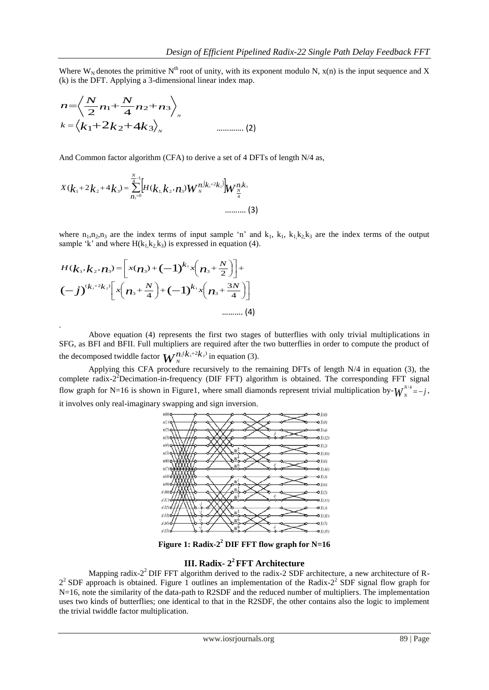Where  $W_N$  denotes the primitive  $N^{th}$  root of unity, with its exponent modulo N,  $x(n)$  is the input sequence and X (k) is the DFT. Applying a 3-dimensional linear index map.

$$
n = \left\langle \frac{N}{2} n_1 + \frac{N}{4} n_2 + n_3 \right\rangle_{N}
$$
  

$$
k = \left\langle k_1 + 2k_2 + 4k_3 \right\rangle_{N}
$$
............ (2)

And Common factor algorithm (CFA) to derive a set of 4 DFTs of length N/4 as,

$$
X(k_1 + 2k_2 + 4k_3) = \sum_{n_3=0}^{N-1} [H(k_1, k_2, n_3) W_N^{n_3(k_1 + 2k_2)}] W_{\frac{N}{4}}^{n_3k_3}
$$
\n
$$
\dots \dots \dots (3)
$$

where  $n_1, n_2, n_3$  are the index terms of input sample 'n' and  $k_1, k_1, k_2, k_3$  are the index terms of the output sample 'k' and where  $H(k_1k_2k_3)$  is expressed in equation (4).

$$
H(k_1, k_2, n_3) = \left[x(n_3) + (-1)^{k_1}x\left(n_3 + \frac{N}{2}\right)\right] + (-1)^{(k_1+2k_2)}\left[x\left(n_3 + \frac{N}{4}\right) + (-1)^{k_1}x\left(n_3 + \frac{3N}{4}\right)\right]
$$
  
\n
$$
\dots \dots \dots \dots (4)
$$

.

Above equation (4) represents the first two stages of butterflies with only trivial multiplications in SFG, as BFI and BFII. Full multipliers are required after the two butterflies in order to compute the product of the decomposed twiddle factor  $W_n^{n_s(k_1+2k_2)}$  $a^{3}(k_1+2k_2)$  in equation (3).

Applying this CFA procedure recursively to the remaining DFTs of length N/4 in equation (3), the complete radix-2<sup>2</sup>Decimation-in-frequency (DIF FFT) algorithm is obtained. The corresponding FFT signal flow graph for N=16 is shown in Figure1, where small diamonds represent trivial multiplication by- $W_{N}^{N/4} = -j$  $N^{1/4}_{N} = -j,$ it involves only real-imaginary swapping and sign inversion.



**Figure 1: Radix-2 <sup>2</sup> DIF FFT flow graph for N=16**

# **III. Radix- 2 <sup>2</sup>FFT Architecture**

Mapping radix-2<sup>2</sup> DIF FFT algorithm derived to the radix-2 SDF architecture, a new architecture of R- $2<sup>2</sup>$  SDF approach is obtained. Figure 1 outlines an implementation of the Radix- $2<sup>2</sup>$  SDF signal flow graph for N=16, note the similarity of the data-path to R2SDF and the reduced number of multipliers. The implementation uses two kinds of butterflies; one identical to that in the R2SDF, the other contains also the logic to implement the trivial twiddle factor multiplication.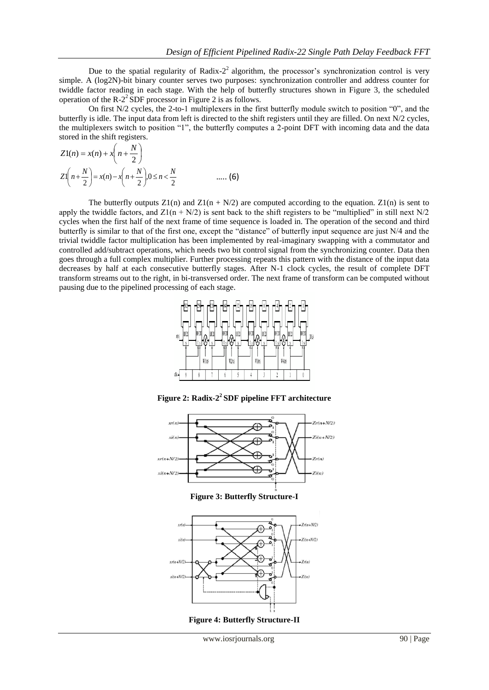Due to the spatial regularity of Radix- $2<sup>2</sup>$  algorithm, the processor's synchronization control is very simple. A (log2N)-bit binary counter serves two purposes: synchronization controller and address counter for twiddle factor reading in each stage. With the help of butterfly structures shown in Figure 3, the scheduled operation of the  $R-2^2$  SDF processor in Figure 2 is as follows.

On first N/2 cycles, the 2-to-1 multiplexers in the first butterfly module switch to position "0", and the butterfly is idle. The input data from left is directed to the shift registers until they are filled. On next N/2 cycles, the multiplexers switch to position "1", the butterfly computes a 2-point DFT with incoming data and the data stored in the shift registers.

$$
Z1(n) = x(n) + x\left(n + \frac{N}{2}\right)
$$
  

$$
Z1\left(n + \frac{N}{2}\right) = x(n) - x\left(n + \frac{N}{2}\right)0 \le n < \frac{N}{2}
$$
 ..... (6)

The butterfly outputs  $Z_1(n)$  and  $Z_1(n + N/2)$  are computed according to the equation.  $Z_1(n)$  is sent to apply the twiddle factors, and  $Z1(n + N/2)$  is sent back to the shift registers to be "multiplied" in still next N/2 cycles when the first half of the next frame of time sequence is loaded in. The operation of the second and third butterfly is similar to that of the first one, except the "distance" of butterfly input sequence are just N/4 and the trivial twiddle factor multiplication has been implemented by real-imaginary swapping with a commutator and controlled add/subtract operations, which needs two bit control signal from the synchronizing counter. Data then goes through a full complex multiplier. Further processing repeats this pattern with the distance of the input data decreases by half at each consecutive butterfly stages. After N-1 clock cycles, the result of complete DFT transform streams out to the right, in bi-transversed order. The next frame of transform can be computed without pausing due to the pipelined processing of each stage.



**Figure 2: Radix-2 <sup>2</sup>SDF pipeline FFT architecture**



**Figure 3: Butterfly Structure-I**



**Figure 4: Butterfly Structure-II**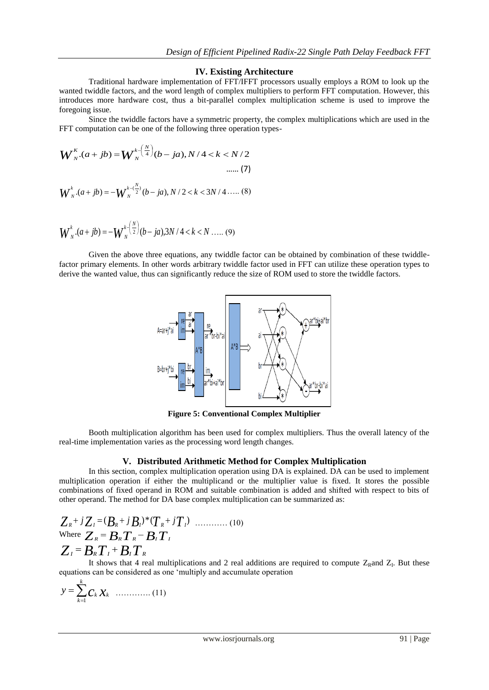#### **IV. Existing Architecture**

Traditional hardware implementation of FFT/IFFT processors usually employs a ROM to look up the wanted twiddle factors, and the word length of complex multipliers to perform FFT computation. However, this introduces more hardware cost, thus a bit-parallel complex multiplication scheme is used to improve the foregoing issue.

Since the twiddle factors have a symmetric property, the complex multiplications which are used in the FFT computation can be one of the following three operation types-

$$
W_{N}^{k}(a+jb) = W_{N}^{k-\left(\frac{N}{4}\right)}(b-ja), N/4 < k < N/2
$$
  
...... (7)  

$$
W_{N}^{k}(a+jb) = -W_{N}^{k-\left(\frac{N}{2}\right)}(b-ja), N/2 < k < 3N/4
$$
..... (8)

$$
W_{N}^{k}.(a+jb) = -W_{N}^{k} \binom{N}{2} (b-ja) . 3N / 4 < k < N .... (9)
$$

Given the above three equations, any twiddle factor can be obtained by combination of these twiddlefactor primary elements. In other words arbitrary twiddle factor used in FFT can utilize these operation types to derive the wanted value, thus can significantly reduce the size of ROM used to store the twiddle factors.



**Figure 5: Conventional Complex Multiplier**

Booth multiplication algorithm has been used for complex multipliers. Thus the overall latency of the real-time implementation varies as the processing word length changes.

## **V. Distributed Arithmetic Method for Complex Multiplication**

In this section, complex multiplication operation using DA is explained. DA can be used to implement multiplication operation if either the multiplicand or the multiplier value is fixed. It stores the possible combinations of fixed operand in ROM and suitable combination is added and shifted with respect to bits of other operand. The method for DA base complex multiplication can be summarized as:

$$
Z_{R}+jZ_{I}=(B_{R}+jB_{I})^{*}(T_{R}+jT_{I})
$$
  
Where  $Z_{R}=B_{R}T_{R}-B_{I}T_{I}$   
 $Z_{I}=B_{R}T_{I}+B_{I}T_{R}$ 

It shows that 4 real multiplications and 2 real additions are required to compute  $Z_R$  and  $Z_I$ . But these equations can be considered as one "multiply and accumulate operation

*c x<sup>k</sup> k k k <sup>y</sup>* 1 …………. (11)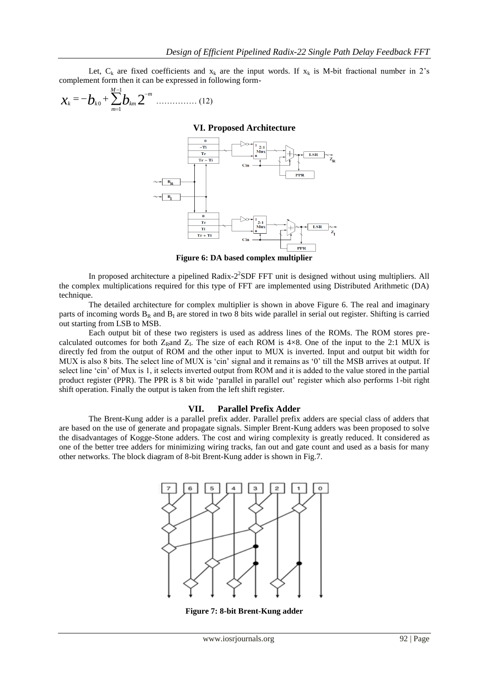Let,  $C_k$  are fixed coefficients and  $x_k$  are the input words. If  $x_k$  is M-bit fractional number in 2's complement form then it can be expressed in following form-

$$
\chi_{k} = -b_{k0} + \sum_{m=1}^{M-1} b_{km} 2^{-m} \dots \dots \dots \dots \dots \dots (12)
$$

**VI. Proposed Architecture**



**Figure 6: DA based complex multiplier**

In proposed architecture a pipelined Radix-2<sup>2</sup>SDF FFT unit is designed without using multipliers. All the complex multiplications required for this type of FFT are implemented using Distributed Arithmetic (DA) technique.

The detailed architecture for complex multiplier is shown in above Figure 6. The real and imaginary parts of incoming words  $B_R$  and  $B_I$  are stored in two 8 bits wide parallel in serial out register. Shifting is carried out starting from LSB to MSB.

Each output bit of these two registers is used as address lines of the ROMs. The ROM stores precalculated outcomes for both  $Z_R$ and  $Z_I$ . The size of each ROM is 4×8. One of the input to the 2:1 MUX is directly fed from the output of ROM and the other input to MUX is inverted. Input and output bit width for MUX is also 8 bits. The select line of MUX is 'cin' signal and it remains as '0' till the MSB arrives at output. If select line 'cin' of Mux is 1, it selects inverted output from ROM and it is added to the value stored in the partial product register (PPR). The PPR is 8 bit wide "parallel in parallel out" register which also performs 1-bit right shift operation. Finally the output is taken from the left shift register.

#### **VII. Parallel Prefix Adder**

The Brent-Kung adder is a parallel prefix adder. Parallel prefix adders are special class of adders that are based on the use of generate and propagate signals. Simpler Brent-Kung adders was been proposed to solve the disadvantages of Kogge-Stone adders. The cost and wiring complexity is greatly reduced. It considered as one of the better tree adders for minimizing wiring tracks, fan out and gate count and used as a basis for many other networks. The block diagram of 8-bit Brent-Kung adder is shown in Fig.7.



**Figure 7: 8-bit Brent-Kung adder**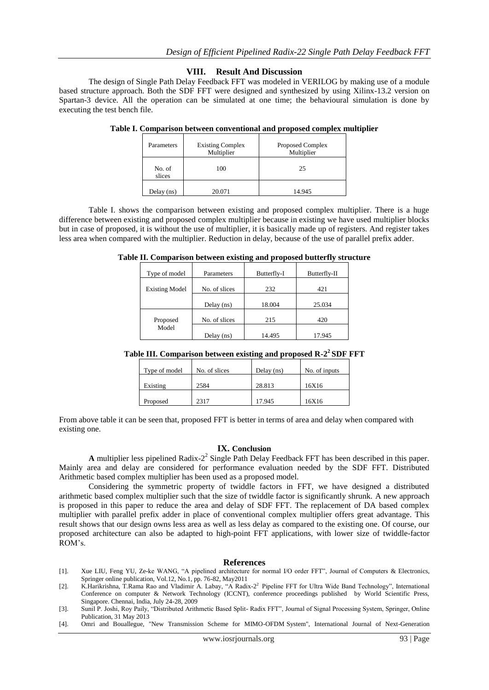## **VIII. Result And Discussion**

The design of Single Path Delay Feedback FFT was modeled in VERILOG by making use of a module based structure approach. Both the SDF FFT were designed and synthesized by using Xilinx-13.2 version on Spartan-3 device. All the operation can be simulated at one time; the behavioural simulation is done by executing the test bench file.

| Parameters       | <b>Existing Complex</b><br>Multiplier | <b>Proposed Complex</b><br>Multiplier |  |  |
|------------------|---------------------------------------|---------------------------------------|--|--|
| No. of<br>slices | 100                                   | 25                                    |  |  |
| Delay $(ns)$     | 20.071                                | 14.945                                |  |  |

**Table I. Comparison between conventional and proposed complex multiplier** 

Table I. shows the comparison between existing and proposed complex multiplier. There is a huge difference between existing and proposed complex multiplier because in existing we have used multiplier blocks but in case of proposed, it is without the use of multiplier, it is basically made up of registers. And register takes less area when compared with the multiplier. Reduction in delay, because of the use of parallel prefix adder.

**Table II. Comparison between existing and proposed butterfly structure**

| Type of model         | Parameters    | Butterfly-I | Butterfly-II |
|-----------------------|---------------|-------------|--------------|
| <b>Existing Model</b> | No. of slices | 232         | 421          |
|                       |               |             |              |
|                       | Delay $(ns)$  | 18.004      | 25.034       |
| Proposed              | No. of slices | 215         | 420          |
| Model                 | Delay $(ns)$  | 14.495      | 17.945       |

|  |  | Table III. Comparison between existing and proposed R-2 <sup>2</sup> SDF FFT |  |
|--|--|------------------------------------------------------------------------------|--|
|  |  |                                                                              |  |

| Type of model | No. of slices | Delay $(ns)$ | No. of inputs |
|---------------|---------------|--------------|---------------|
| Existing      | 2584          | 28.813       | 16X16         |
| Proposed      | 2317          | 17.945       | 16X16         |

From above table it can be seen that, proposed FFT is better in terms of area and delay when compared with existing one.

## **IX. Conclusion**

**A** multiplier less pipelined Radix-2 2 Single Path Delay Feedback FFT has been described in this paper. Mainly area and delay are considered for performance evaluation needed by the SDF FFT. Distributed Arithmetic based complex multiplier has been used as a proposed model.

Considering the symmetric property of twiddle factors in FFT, we have designed a distributed arithmetic based complex multiplier such that the size of twiddle factor is significantly shrunk. A new approach is proposed in this paper to reduce the area and delay of SDF FFT. The replacement of DA based complex multiplier with parallel prefix adder in place of conventional complex multiplier offers great advantage. This result shows that our design owns less area as well as less delay as compared to the existing one. Of course, our proposed architecture can also be adapted to high-point FFT applications, with lower size of twiddle-factor ROM"s.

#### **References**

- [1]. Xue LIU, Feng YU, Ze-ke WANG, "A pipelined architecture for normal I/O order FFT", Journal of Computers & Electronics, Springer online publication, Vol.12, No.1, pp. 76-82, May2011
- [2]. K.Harikrishna, T.Rama Rao and Vladimir A. Labay, "A Radix-2<sup>2</sup> Pipeline FFT for Ultra Wide Band Technology", International Conference on computer & Network Technology (ICCNT), conference proceedings published by World Scientific Press, Singapore. Chennai, India, July 24-28, 2009
- [3]. Sunil P. Joshi, Roy Paily, "Distributed Arithmetic Based Split- Radix FFT", Journal of Signal Processing System, Springer, Online Publication, 31 May 2013
- [4]. Omri and Bouallegue, "New Transmission Scheme for MIMO-OFDM System", International Journal of Next-Generation